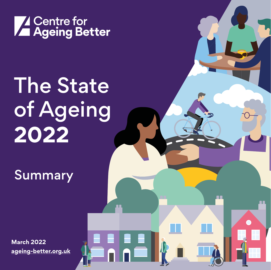

## The State of Ageing **2022**

N E

**Summary** 

**[M](http:// ageing-better.org.uk/state-of-ageing)arch 2022 [ageing-better.org.uk](https://www.ageing-better.org.uk/state-of-ageing )**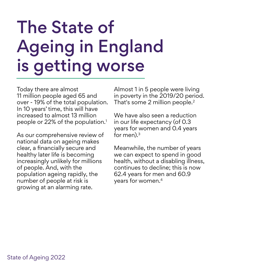### The State of Ageing in England is getting worse

Today there are almost 11 million people aged 65 and over - 19% of the total population. In 10 years' time, this will have increased to almost 13 million people or 22% of the population.<sup>1</sup>

As our comprehensive review of national data on ageing makes clear, a financially secure and healthy later life is becoming increasingly unlikely for millions of people. And, with the population ageing rapidly, the number of people at risk is growing at an alarming rate.

Almost 1 in 5 people were living in poverty in the 2019/20 period. That's some 2 million people.2

We have also seen a reduction in our life expectancy (of 0.3 years for women and 0.4 years for men). $3$ 

Meanwhile, the number of years we can expect to spend in good health, without a disabling illness, continues to decline; this is now 62.4 years for men and 60.9 years for women.4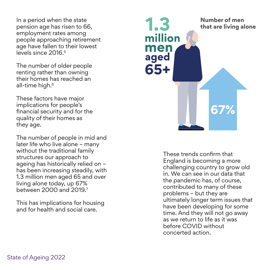In a period when the state pension age has risen to 66, employment rates among people approaching retirement age have fallen to their lowest levels since 2016.<sup>5</sup>

The number of older people renting rather than owning their homes has reached an all-time high.<sup>6</sup>

These factors have major implications for people's financial security and for the quality of their homes as they age.

The number of people in mid and later life who live alone – many without the traditional family structures our approach to ageing has historically relied on – has been increasing steadily, with 1.3 million men aged 65 and over living alone today, up 67% between 2000 and 2019.7

This has implications for housing and for health and social care.



These trends confirm that England is becoming a more challenging country to grow old in. We can see in our data that the pandemic has, of course, contributed to many of these problems – but they are ultimately longer term issues that have been developing for some time. And they will not go away as we return to life as it was before COVID without concerted action.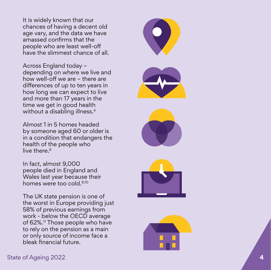It is widely known that our chances of having a decent old age vary, and the data we have amassed confirms that the people who are least well-off have the slimmest chance of all.

Across England today – depending on where we live and how well-off we are – there are differences of up to ten years in how long we can expect to live and more than 17 years in the time we get in good health without a disabling illness. 4

Almost 1 in 5 homes headed by someone aged 60 or older is in a condition that endangers the health of the people who live there. 8

In fact, almost 9,000 people died in England and Wales last year because their homes were too cold.9,10

The UK state pension is one of the worst in Europe providing just 58% of previous earnings from work - below the OECD average of 62%.<sup>11</sup> Those people who have to rely on the pension as a main or only source of income face a bleak financial future.





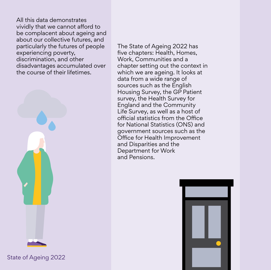All this data demonstrates vividly that we cannot afford to be complacent about ageing and about our collective futures, and particularly the futures of people experiencing poverty, discrimination, and other disadvantages accumulated over the course of their lifetimes.



State of Ageing 2022

The State of Ageing 2022 has five chapters: Health, Homes, Work, Communities and a chapter setting out the context in which we are ageing. It looks at data from a wide range of sources such as the English Housing Survey, the GP Patient survey, the Health Survey for England and the Community Life Survey, as well as a host of official statistics from the Office for National Statistics (ONS) and government sources such as the Office for Health Improvement and Disparities and the Department for Work and Pensions.

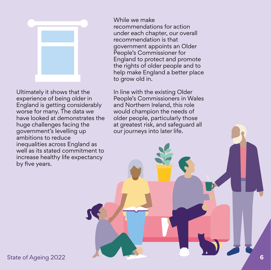

Ultimately it shows that the experience of being older in England is getting considerably worse for many. The data we have looked at demonstrates the huge challenges facing the government's levelling up ambitions to reduce inequalities across England as well as its stated commitment to increase healthy life expectancy by five years.

While we make recommendations for action under each chapter, our overall recommendation is that government appoints an Older People's Commissioner for England to protect and promote the rights of older people and to help make England a better place to grow old in.

In line with the existing Older People's Commissioners in Wales and Northern Ireland, this role would champion the needs of older people, particularly those at greatest risk, and safeguard all our journeys into later life.

State of Ageing 2022 **6**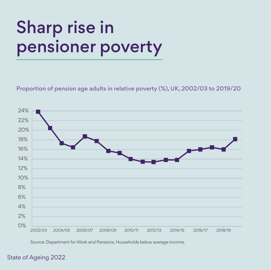## Sharp rise in pensioner poverty

Proportion of pension age adults in relative poverty (%), UK, 2002/03 to 2019/20



Source: Department for Work and Pensions. Households below average income.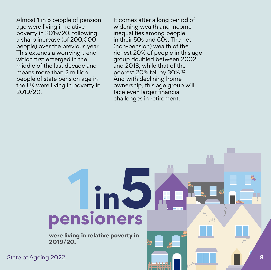Almost 1 in 5 people of pension age were living in relative poverty in 2019/20, following a sharp increase (of 200,000 people) over the previous year. This extends a worrying trend which first emerged in the middle of the last decade and means more than 2 million people of state pension age in the UK were living in poverty in 2019/20.

It comes after a long period of widening wealth and income inequalities among people in their 50s and 60s. The net (non-pension) wealth of the richest 20% of people in this age group doubled between 2002 and 2018, while that of the poorest 20% fell by 30%.12 And with declining home ownership, this age group will face even larger financial challenges in retirement.

# pensioners

**were living in relative poverty in 2019/20.**

State of Ageing 2022 **8**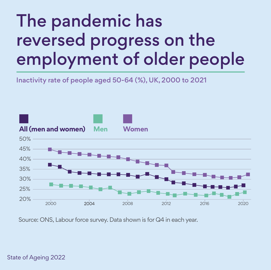### The pandemic has reversed progress on the employment of older people

Inactivity rate of people aged 50-64 (%), UK, 2000 to 2021



Source: ONS, Labour force survey. Data shown is for Q4 in each year.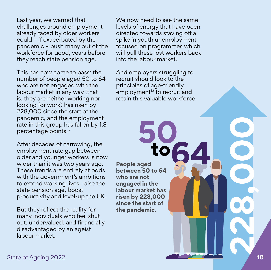Last year, we warned that challenges around employment already faced by older workers could – if exacerbated by the pandemic – push many out of the workforce for good, years before they reach state pension age.

This has now come to pass: the number of people aged 50 to 64 who are not engaged with the labour market in any way (that is, they are neither working nor looking for work) has risen by 228,000 since the start of the pandemic, and the employment rate in this group has fallen by 1.8 percentage points.5

After decades of narrowing, the employment rate gap between older and younger workers is now wider than it was two years ago. These trends are entirely at odds with the government's ambitions to extend working lives, raise the state pension age, boost productivity and level-up the UK.

But they reflect the reality for many individuals who feel shut out, undervalued, and financially disadvantaged by an ageist labour market.

We now need to see the same we now hood to see the same<br>levels of energy that have been rovers or energy that have been.<br>directed towards staving off a risen by 228,000 since spike in youth unemployment the start of the programmes which will pull these lost workers back into the labour market.

And employers struggling to recruit should look to the principles of age-friendly employment<sup>13</sup> to recruit and retain this valuable workforce.

**People aged between 50 to 64 who are not engaged in the labour market has risen by 228,000 since the start of the pandemic.**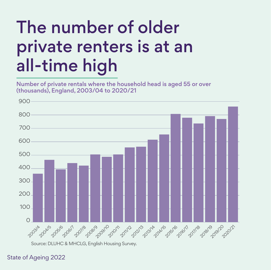## The number of older private renters is at an all-time high

Number of private rentals where the household head is aged 55 or over (thousands), England, 2003/04 to 2020/21



Source: DLUHC & MHCLG, English Housing Survey.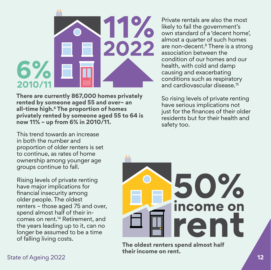

**There are currently 867,000 homes privately rented by someone aged 55 and over– an all-time high.6 The proportion of homes privately rented by someone aged 55 to 64 is now 11% – up from 6% in 2010/11.** 

This trend towards an increase in both the number and proportion of older renters is set to continue, as rates of home ownership among younger age groups continue to fall.

Rising levels of private renting have major implications for financial insecurity among older people. The oldest renters – those aged 75 and over, spend almost half of their incomes on rent.14 Retirement, and the years leading up to it, can no longer be assumed to be a time of falling living costs.

Private rentals are also the most likely to fail the government's own standard of a 'decent home', almost a quarter of such homes are non-decent.8 There is a strong association between the condition of our homes and our health, with cold and damp causing and exacerbating conditions such as respiratory and cardiovascular disease.15

So rising levels of private renting have serious implications not just for the finances of their older residents but for their health and safety too.



**The oldest renters spend almost half their income on rent.**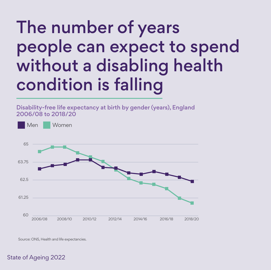#### The number of years people can expect to spend without a disabling health condition is falling

#### Disability-free life expectancy at birth by gender (years), England 2006/08 to 2018/20



Source: ONS, Health and life expectancies.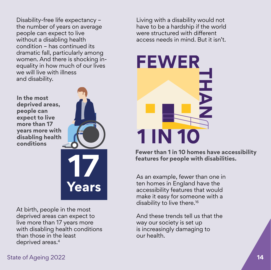Disability-free life expectancy – the number of years on average people can expect to live without a disabling health condition – has continued its dramatic fall, particularly among women. And there is shocking inequality in how much of our lives we will live with illness and disability.

**In the most deprived areas, people can expect to live more than 17 years more with disabling health conditions**



At birth, people in the most deprived areas can expect to live more than 17 years more with disabling health conditions than those in the least deprived areas.4

Living with a disability would not have to be a hardship if the world were structured with different access needs in mind. But it isn't.



**Fewer than 1 in 10 homes have accessibility features for people with disabilities.**

As an example, fewer than one in ten homes in England have the accessibility features that would make it easy for someone with a disability to live there.16

And these trends tell us that the way our society is set up is increasingly damaging to our health.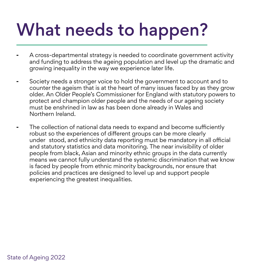## What needs to happen?

- **-** A cross-departmental strategy is needed to coordinate government activity and funding to address the ageing population and level up the dramatic and growing inequality in the way we experience later life.
- **-** Society needs a stronger voice to hold the government to account and to counter the ageism that is at the heart of many issues faced by as they grow older. An Older People's Commissioner for England with statutory powers to protect and champion older people and the needs of our ageing society must be enshrined in law as has been done already in Wales and Northern Ireland.
- **-** The collection of national data needs to expand and become sufficiently robust so the experiences of different groups can be more clearly under stood, and ethnicity data reporting must be mandatory in all official and statutory statistics and data monitoring. The near invisibility of older people from black, Asian and minority ethnic groups in the data currently means we cannot fully understand the systemic discrimination that we know is faced by people from ethnic minority backgrounds, nor ensure that policies and practices are designed to level up and support people experiencing the greatest inequalities.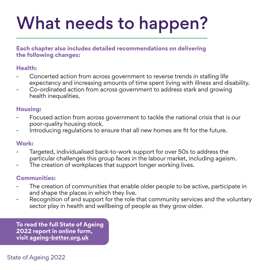## What needs to happen?

**Each chapter also includes detailed recommendations on delivering the following changes:** 

#### **Health:**

- Concerted action from across government to reverse trends in stalling life expectancy and increasing amounts of time spent living with illness and disability.
- Co-ordinated action from across government to address stark and growing health inequalities.

#### **Housing:**

- Focused action from across government to tackle the national crisis that is our poor-quality housing stock.
- Introducing regulations to ensure that all new homes are fit for the future.

#### **Work:**

- Targeted, individualised back-to-work support for over 50s to address the particular challenges this group faces in the labour market, including ageism.
- The creation of workplaces that support longer working lives.

#### **Communities:**

- The creation of communities that enable older people to be active, participate in and shape the places in which they live.
- Recognition of and support for the role that community services and the voluntary sector play in health and wellbeing of people as they grow older.

**To read the full State of Ageing 2022 report in online form, visit [ageing-better.org.uk](https://www.ageing-better.org.uk/state-of-ageing)**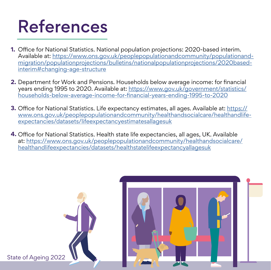#### References

- Office for National Statistics. National population projections: 2020-based interim. **1.** Available at: [https://www.ons.gov.uk/peoplepopulationandcommunity/populationand](https://www.ons.gov.uk/peoplepopulationandcommunity/populationandmigration/populationprojections/bulletins/nationalpopulationprojections/2020basedinterim#changing-age-structure)[migration/populationprojections/bulletins/nationalpopulationprojections/2020based](https://www.ons.gov.uk/peoplepopulationandcommunity/populationandmigration/populationprojections/bulletins/nationalpopulationprojections/2020basedinterim#changing-age-structure)[interim#changing-age-structure](https://www.ons.gov.uk/peoplepopulationandcommunity/populationandmigration/populationprojections/bulletins/nationalpopulationprojections/2020basedinterim#changing-age-structure)
- Department for Work and Pensions. Households below average income: for financial **2.** years ending 1995 to 2020. Available at: [https://www.gov.uk/government/statistics/](https://www.gov.uk/government/statistics/households-below-average-income-for-financial-years-ending-1995-to-2020) [households-below-average-income-for-financial-years-ending-1995-to-2020](https://www.gov.uk/government/statistics/households-below-average-income-for-financial-years-ending-1995-to-2020)
- **3.** Office for National Statistics. Life expectancy estimates, all ages. Available at: <u>https://</u> [www.ons.gov.uk/peoplepopulationandcommunity/healthandsocialcare/healthandlife](https://www.ons.gov.uk/peoplepopulationandcommunity/healthandsocialcare/healthandlifeexpectancies/datasets/lifeexpectancyestimatesallagesuk)[expectancies/datasets/lifeexpectancyestimatesallagesuk](https://www.ons.gov.uk/peoplepopulationandcommunity/healthandsocialcare/healthandlifeexpectancies/datasets/lifeexpectancyestimatesallagesuk)
- Office for National Statistics. Health state life expectancies, all ages, UK. Available **4.**at: [https://www.ons.gov.uk/peoplepopulationandcommunity/healthandsocialcare/](https://www.ons.gov.uk/peoplepopulationandcommunity/healthandsocialcare/healthandlifeexpectancies/datasets/healthstatelifeexpectancyallagesuk) [healthandlifeexpectancies/datasets/healthstatelifeexpectancyallagesuk](https://www.ons.gov.uk/peoplepopulationandcommunity/healthandsocialcare/healthandlifeexpectancies/datasets/healthstatelifeexpectancyallagesuk)

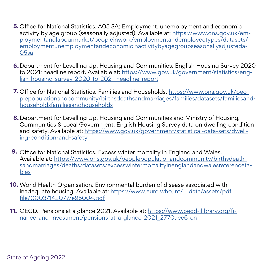- Office for National Statistics. A05 SA: Employment, unemployment and economic **5.** activity by age group (seasonally adjusted). Available at: [https://www.ons.gov.uk/em](https://www.ons.gov.uk/employmentandlabourmarket/peopleinwork/employmentandemployeetypes/datasets/employmentunemploymentandeconomicinactivitybyagegroupseasonallyadjusteda05sa)[ploymentandlabourmarket/peopleinwork/employmentandemployeetypes/datasets/](https://www.ons.gov.uk/employmentandlabourmarket/peopleinwork/employmentandemployeetypes/datasets/employmentunemploymentandeconomicinactivitybyagegroupseasonallyadjusteda05sa) [employmentunemploymentandeconomicinactivitybyagegroupseasonallyadjusteda-](https://www.ons.gov.uk/employmentandlabourmarket/peopleinwork/employmentandemployeetypes/datasets/employmentunemploymentandeconomicinactivitybyagegroupseasonallyadjusteda05sa)[05sa](https://www.ons.gov.uk/employmentandlabourmarket/peopleinwork/employmentandemployeetypes/datasets/employmentunemploymentandeconomicinactivitybyagegroupseasonallyadjusteda05sa)
- Department for Levelling Up, Housing and Communities. English Housing Survey 2020 **6.** to 2021: headline report. Available at: [https://www.gov.uk/government/statistics/eng](https://www.gov.uk/government/statistics/english-housing-survey-2020-to-2021-headline-report)[lish-housing-survey-2020-to-2021-headline-report](https://www.gov.uk/government/statistics/english-housing-survey-2020-to-2021-headline-report)
- **7.** Office for National Statistics. Families and Households. <u>https://www.ons.gov.uk/peo-</u> [plepopulationandcommunity/birthsdeathsandmarriages/families/datasets/familiesand](https://www.ons.gov.uk/peoplepopulationandcommunity/birthsdeathsandmarriages/families/datasets/familiesandhouseholdsfamiliesandhouseholds)[householdsfamiliesandhouseholds](https://www.ons.gov.uk/peoplepopulationandcommunity/birthsdeathsandmarriages/families/datasets/familiesandhouseholdsfamiliesandhouseholds)
- Department for Levelling Up, Housing and Communities and Ministry of Housing, **8.** Communities & Local Government. English Housing Survey data on dwelling condition and safety. Available at: [https://www.gov.uk/government/statistical-data-sets/dwell](https://www.gov.uk/government/statistical-data-sets/dwelling-condition-and-safety)[ing-condition-and-safety](https://www.gov.uk/government/statistical-data-sets/dwelling-condition-and-safety)
- **9.** Office for National Statistics. Excess winter mortality in England and Wales. Available at: [https://www.ons.gov.uk/peoplepopulationandcommunity/birthsdeath](https://www.ons.gov.uk/peoplepopulationandcommunity/birthsdeathsandmarriages/deaths/datasets/excesswintermortalityinenglandandwalesreferencetables)[sandmarriages/deaths/datasets/excesswintermortalityinenglandandwalesreferenceta](https://www.ons.gov.uk/peoplepopulationandcommunity/birthsdeathsandmarriages/deaths/datasets/excesswintermortalityinenglandandwalesreferencetables)[bles](https://www.ons.gov.uk/peoplepopulationandcommunity/birthsdeathsandmarriages/deaths/datasets/excesswintermortalityinenglandandwalesreferencetables)
- **10.** World Health Organisation. Environmental burden of disease associated with inadequate housing. Available at: https://www.euro.who.int/ data/assets/pdf [file/0003/142077/e95004.pdf](https://www.euro.who.int/__data/assets/pdf_file/0003/142077/e95004.pdf)
- **11.** OECD. Pensions at a glance 2021. Available at: <u>https://www.oecd-ilibrary.org/fi-</u> [nance-and-investment/pensions-at-a-glance-2021\\_2770acc6-en](https://www.oecd-ilibrary.org/finance-and-investment/pensions-at-a-glance-2021_2770acc6-en)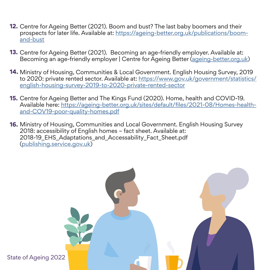- **12.** Centre for Ageing Better (2021). Boom and bust? The last baby boomers and their prospects for later life. Available at: [https://ageing-better.org.uk/publications/boom](https://ageing-better.org.uk/publications/boom-and-bust)[and-bust](https://ageing-better.org.uk/publications/boom-and-bust)
- **13.** Centre for Ageing Better (2021). Becoming an age-friendly employer. Available at: Becoming an age-friendly employer | Centre for Ageing Better [\(ageing-better.org.uk\)](https://ageing-better.org.uk/publications/becoming-age-friendly-employer?gclid=CjwKCAjw8sCRBhA6EiwA6_IF4etPMIwnySTZc3_AFQG7_jueKsNlFqvGB_YUBM3p3-GUKT_0bUaSSBoCf7YQAvD_BwE)
- **14.** Ministry of Housing, Communities & Local Government. English Housing Survey, 2019 to 2020: private rented sector. Available at: [https://www.gov.uk/government/statistics/](https://www.gov.uk/government/statistics/english-housing-survey-2019-to-2020-private-rented-sector) [english-housing-survey-2019-to-2020-private-rented-sector](https://www.gov.uk/government/statistics/english-housing-survey-2019-to-2020-private-rented-sector)
- **15.** Centre for Ageing Better and The Kings Fund (2020). Home, health and COVID-19. Available here: [https://ageing-better.org.uk/sites/default/files/2021-08/Homes-health](https://ageing-better.org.uk/sites/default/files/2021-08/Homes-health-and-COV19-poor-quality-homes.pdf)[and-COV19-poor-quality-homes.pdf](https://ageing-better.org.uk/sites/default/files/2021-08/Homes-health-and-COV19-poor-quality-homes.pdf)
- **16.** Ministry of Housing, Communities and Local Government. English Housing Survey 2018: accessibility of English homes – fact sheet. Available at: 2018-19\_EHS\_Adaptations\_and\_Accessability\_Fact\_Sheet.pdf [\(publishing.service.gov.uk\)](https://assets.publishing.service.gov.uk/government/uploads/system/uploads/attachment_data/file/898205/2018-19_EHS_Adaptations_and_Accessability_Fact_Sheet.pdf)